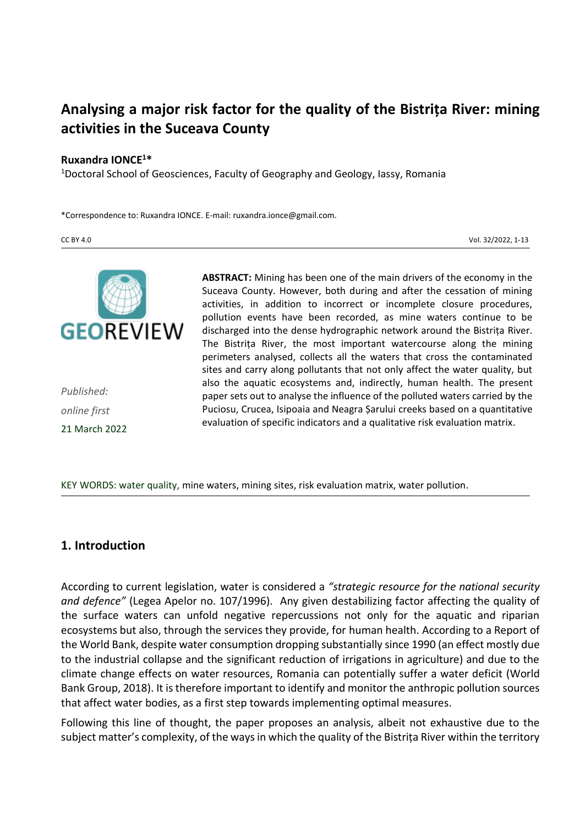# **Analysing a major risk factor for the quality of the Bistrița River: mining activities in the Suceava County**

#### **Ruxandra IONCE<sup>1</sup>\***

<sup>1</sup>Doctoral School of Geosciences, Faculty of Geography and Geology, Iassy, Romania

\*Correspondence to: Ruxandra IONCE. E-mail: ruxandra.ionce@gmail.com.

CC BY 4.0 Vol. 32/2022, 1-13



*Published: online first* 21 March 2022 **ABSTRACT:** Mining has been one of the main drivers of the economy in the Suceava County. However, both during and after the cessation of mining activities, in addition to incorrect or incomplete closure procedures, pollution events have been recorded, as mine waters continue to be discharged into the dense hydrographic network around the Bistrița River. The Bistrița River, the most important watercourse along the mining perimeters analysed, collects all the waters that cross the contaminated sites and carry along pollutants that not only affect the water quality, but also the aquatic ecosystems and, indirectly, human health. The present paper sets out to analyse the influence of the polluted waters carried by the Puciosu, Crucea, Isipoaia and Neagra Șarului creeks based on a quantitative evaluation of specific indicators and a qualitative risk evaluation matrix.

KEY WORDS: water quality, mine waters, mining sites, risk evaluation matrix, water pollution.

#### **1. Introduction**

According to current legislation, water is considered a *"strategic resource for the national security and defence"* (Legea Apelor no. 107/1996). Any given destabilizing factor affecting the quality of the surface waters can unfold negative repercussions not only for the aquatic and riparian ecosystems but also, through the services they provide, for human health. According to a Report of the World Bank, despite water consumption dropping substantially since 1990 (an effect mostly due to the industrial collapse and the significant reduction of irrigations in agriculture) and due to the climate change effects on water resources, Romania can potentially suffer a water deficit (World Bank Group, 2018). It is therefore important to identify and monitor the anthropic pollution sources that affect water bodies, as a first step towards implementing optimal measures.

Following this line of thought, the paper proposes an analysis, albeit not exhaustive due to the subject matter's complexity, of the ways in which the quality of the Bistrița River within the territory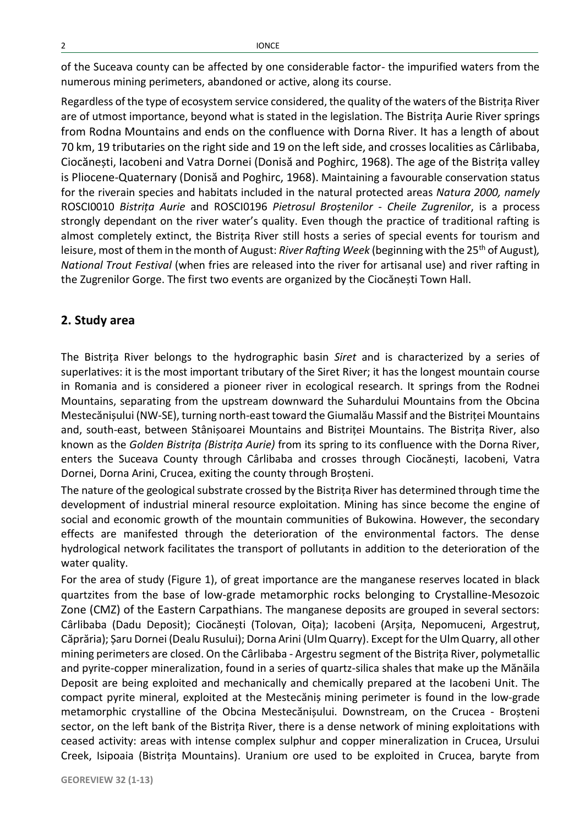of the Suceava county can be affected by one considerable factor- the impurified waters from the numerous mining perimeters, abandoned or active, along its course.

Regardless of the type of ecosystem service considered, the quality of the waters of the Bistrița River are of utmost importance, beyond what is stated in the legislation. The Bistrița Aurie River springs from Rodna Mountains and ends on the confluence with Dorna River. It has a length of about 70 km, 19 tributaries on the right side and 19 on the left side, and crosses localities as Cârlibaba, Ciocănești, Iacobeni and Vatra Dornei (Donisă and Poghirc, 1968). The age of the Bistrița valley is Pliocene-Quaternary (Donisă and Poghirc, 1968). Maintaining a favourable conservation status for the riverain species and habitats included in the natural protected areas *Natura 2000, namely*  ROSCI0010 *Bistrița Aurie* and ROSCI0196 *Pietrosul Broștenilor - Cheile Zugrenilor*, is a process strongly dependant on the river water's quality. Even though the practice of traditional rafting is almost completely extinct, the Bistrița River still hosts a series of special events for tourism and leisure, most of them in the month of August: *River Rafting Week* (beginning with the 25<sup>th</sup> of August), *National Trout Festival* (when fries are released into the river for artisanal use) and river rafting in the Zugrenilor Gorge. The first two events are organized by the Ciocănești Town Hall.

## **2. Study area**

The Bistrița River belongs to the hydrographic basin *Siret* and is characterized by a series of superlatives: it is the most important tributary of the Siret River; it has the longest mountain course in Romania and is considered a pioneer river in ecological research. It springs from the Rodnei Mountains, separating from the upstream downward the Suhardului Mountains from the Obcina Mestecănișului (NW-SE), turning north-east toward the Giumalău Massif and the Bistriței Mountains and, south-east, between Stânișoarei Mountains and Bistriței Mountains. The Bistrița River, also known as the *Golden Bistrița (Bistrița Aurie)* from its spring to its confluence with the Dorna River, enters the Suceava County through Cârlibaba and crosses through Ciocănești, Iacobeni, Vatra Dornei, Dorna Arini, Crucea, exiting the county through Broșteni.

The nature of the geological substrate crossed by the Bistrița River has determined through time the development of industrial mineral resource exploitation. Mining has since become the engine of social and economic growth of the mountain communities of Bukowina. However, the secondary effects are manifested through the deterioration of the environmental factors. The dense hydrological network facilitates the transport of pollutants in addition to the deterioration of the water quality.

For the area of study (Figure 1), of great importance are the manganese reserves located in black quartzites from the base of low-grade metamorphic rocks belonging to Crystalline-Mesozoic Zone (CMZ) of the Eastern Carpathians. The manganese deposits are grouped in several sectors: Cârlibaba (Dadu Deposit); Ciocănești (Tolovan, Oița); Iacobeni (Arșița, Nepomuceni, Argestruț, Căprăria); Șaru Dornei (Dealu Rusului); Dorna Arini (Ulm Quarry). Except forthe Ulm Quarry, all other mining perimeters are closed. On the Cârlibaba - Argestru segment of the Bistrița River, polymetallic and pyrite-copper mineralization, found in a series of quartz-silica shales that make up the Mănăila Deposit are being exploited and mechanically and chemically prepared at the Iacobeni Unit. The compact pyrite mineral, exploited at the Mestecăniș mining perimeter is found in the low-grade metamorphic crystalline of the Obcina Mestecănișului. Downstream, on the Crucea - Broșteni sector, on the left bank of the Bistrița River, there is a dense network of mining exploitations with ceased activity: areas with intense complex sulphur and copper mineralization in Crucea, Ursului Creek, Isipoaia (Bistrița Mountains). Uranium ore used to be exploited in Crucea, baryte from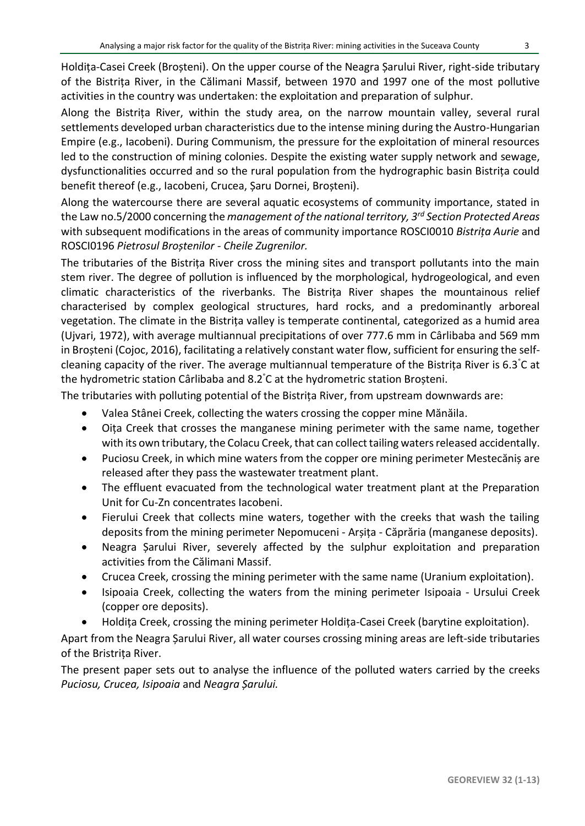Holdița-Casei Creek (Broșteni). On the upper course of the Neagra Șarului River, right-side tributary of the Bistrița River, in the Călimani Massif, between 1970 and 1997 one of the most pollutive activities in the country was undertaken: the exploitation and preparation of sulphur.

Along the Bistrița River, within the study area, on the narrow mountain valley, several rural settlements developed urban characteristics due to the intense mining during the Austro-Hungarian Empire (e.g., Iacobeni). During Communism, the pressure for the exploitation of mineral resources led to the construction of mining colonies. Despite the existing water supply network and sewage, dysfunctionalities occurred and so the rural population from the hydrographic basin Bistrița could benefit thereof (e.g., Iacobeni, Crucea, Șaru Dornei, Broșteni).

Along the watercourse there are several aquatic ecosystems of community importance, stated in the Law no.5/2000 concerning the *management of the national territory, 3rd Section Protected Areas* with subsequent modifications in the areas of community importance ROSCI0010 *Bistrița Aurie* and ROSCI0196 *Pietrosul Broștenilor - Cheile Zugrenilor.*

The tributaries of the Bistrița River cross the mining sites and transport pollutants into the main stem river. The degree of pollution is influenced by the morphological, hydrogeological, and even climatic characteristics of the riverbanks. The Bistrița River shapes the mountainous relief characterised by complex geological structures, hard rocks, and a predominantly arboreal vegetation. The climate in the Bistrița valley is temperate continental, categorized as a humid area (Ujvari, 1972), with average multiannual precipitations of over 777.6 mm in Cârlibaba and 569 mm in Broșteni (Cojoc, 2016), facilitating a relatively constant water flow, sufficient for ensuring the selfcleaning capacity of the river. The average multiannual temperature of the Bistrița River is 6.3°C at the hydrometric station Cârlibaba and 8.2°C at the hydrometric station Broșteni.

The tributaries with polluting potential of the Bistrița River, from upstream downwards are:

- Valea Stânei Creek, collecting the waters crossing the copper mine Mănăila.
- Oița Creek that crosses the manganese mining perimeter with the same name, together with its own tributary, the Colacu Creek, that can collect tailing waters released accidentally.
- Puciosu Creek, in which mine waters from the copper ore mining perimeter Mestecăniș are released after they pass the wastewater treatment plant.
- The effluent evacuated from the technological water treatment plant at the Preparation Unit for Cu-Zn concentrates Iacobeni.
- Fierului Creek that collects mine waters, together with the creeks that wash the tailing deposits from the mining perimeter Nepomuceni - Arșița - Căprăria (manganese deposits).
- Neagra Șarului River, severely affected by the sulphur exploitation and preparation activities from the Călimani Massif.
- Crucea Creek, crossing the mining perimeter with the same name (Uranium exploitation).
- Isipoaia Creek, collecting the waters from the mining perimeter Isipoaia Ursului Creek (copper ore deposits).
- Holdița Creek, crossing the mining perimeter Holdița-Casei Creek (barytine exploitation).

Apart from the Neagra Șarului River, all water courses crossing mining areas are left-side tributaries of the Bristrița River.

The present paper sets out to analyse the influence of the polluted waters carried by the creeks *Puciosu, Crucea, Isipoaia* and *Neagra Șarului.*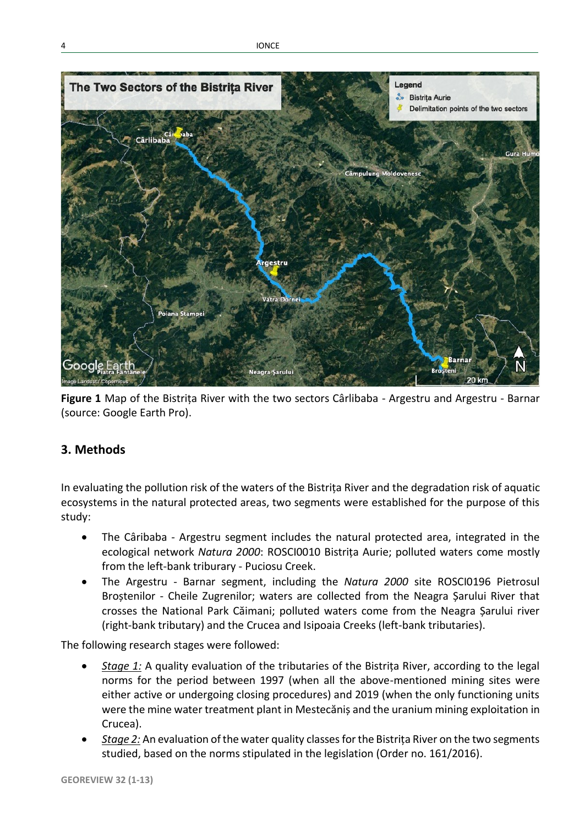

**Figure 1** Map of the Bistrița River with the two sectors Cârlibaba - Argestru and Argestru - Barnar (source: Google Earth Pro).

# **3. Methods**

In evaluating the pollution risk of the waters of the Bistrița River and the degradation risk of aquatic ecosystems in the natural protected areas, two segments were established for the purpose of this study:

- The Câribaba Argestru segment includes the natural protected area, integrated in the ecological network *Natura 2000*: ROSCI0010 Bistrița Aurie; polluted waters come mostly from the left-bank triburary - Puciosu Creek.
- The Argestru Barnar segment, including the *Natura 2000* site ROSCI0196 Pietrosul Broștenilor - Cheile Zugrenilor; waters are collected from the Neagra Șarului River that crosses the National Park Căimani; polluted waters come from the Neagra Șarului river (right-bank tributary) and the Crucea and Isipoaia Creeks (left-bank tributaries).

The following research stages were followed:

- *Stage 1:* A quality evaluation of the tributaries of the Bistrița River, according to the legal norms for the period between 1997 (when all the above-mentioned mining sites were either active or undergoing closing procedures) and 2019 (when the only functioning units were the mine water treatment plant in Mestecăniș and the uranium mining exploitation in Crucea).
- *Stage 2:* An evaluation of the water quality classes for the Bistrița River on the two segments studied, based on the norms stipulated in the legislation (Order no. 161/2016).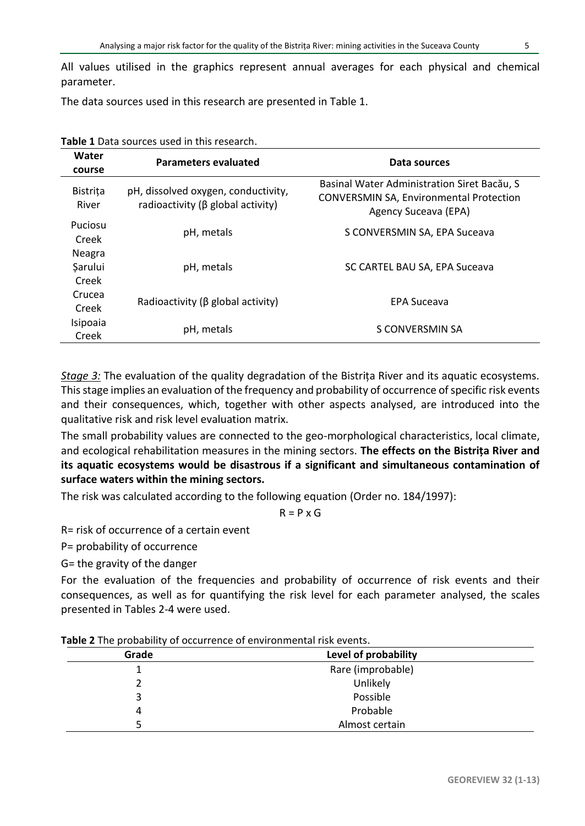All values utilised in the graphics represent annual averages for each physical and chemical parameter.

The data sources used in this research are presented in Table 1.

| Water<br>course          | Parameters evaluated                                                     | Data sources                                                                                                          |  |  |
|--------------------------|--------------------------------------------------------------------------|-----------------------------------------------------------------------------------------------------------------------|--|--|
| <b>Bistrita</b><br>River | pH, dissolved oxygen, conductivity,<br>radioactivity (β global activity) | Basinal Water Administration Siret Bacău, S<br><b>CONVERSMIN SA, Environmental Protection</b><br>Agency Suceava (EPA) |  |  |
| Puciosu                  | pH, metals                                                               | S CONVERSMIN SA, EPA Suceava                                                                                          |  |  |
| Creek                    |                                                                          |                                                                                                                       |  |  |
| Neagra                   |                                                                          |                                                                                                                       |  |  |
| Sarului                  | pH, metals                                                               | SC CARTEL BAU SA, EPA Suceava                                                                                         |  |  |
| Creek                    |                                                                          |                                                                                                                       |  |  |
| Crucea                   |                                                                          | <b>EPA Suceava</b>                                                                                                    |  |  |
| Creek                    | Radioactivity ( $\beta$ global activity)                                 |                                                                                                                       |  |  |
| Isipoaia                 |                                                                          | S CONVERSMIN SA                                                                                                       |  |  |
| Creek                    | pH, metals                                                               |                                                                                                                       |  |  |

**Table 1** Data sources used in this research.

*Stage 3:* The evaluation of the quality degradation of the Bistrița River and its aquatic ecosystems. This stage implies an evaluation of the frequency and probability of occurrence of specific risk events and their consequences, which, together with other aspects analysed, are introduced into the qualitative risk and risk level evaluation matrix.

The small probability values are connected to the geo-morphological characteristics, local climate, and ecological rehabilitation measures in the mining sectors. **The effects on the Bistrița River and its aquatic ecosystems would be disastrous if a significant and simultaneous contamination of surface waters within the mining sectors.**

The risk was calculated according to the following equation (Order no. 184/1997):

 $R = P \times G$ 

R= risk of occurrence of a certain event

P= probability of occurrence

G= the gravity of the danger

For the evaluation of the frequencies and probability of occurrence of risk events and their consequences, as well as for quantifying the risk level for each parameter analysed, the scales presented in Tables 2-4 were used.

| Grade | Level of probability |  |
|-------|----------------------|--|
|       | Rare (improbable)    |  |
|       | Unlikely             |  |
| 3     | Possible             |  |
| 4     | Probable             |  |
|       | Almost certain       |  |

**Table 2** The probability of occurrence of environmental risk events.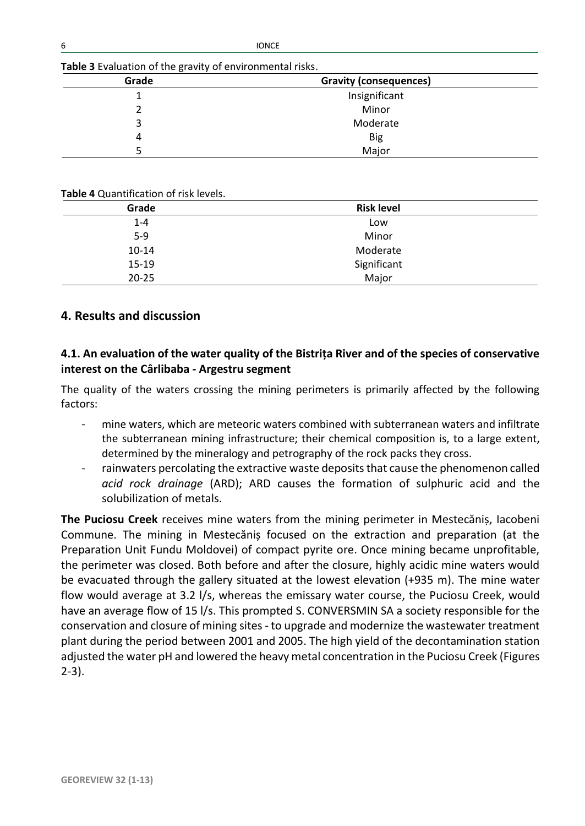| Grade | Gravity (consequences) |  |
|-------|------------------------|--|
|       | Insignificant          |  |
|       | Minor                  |  |
|       | Moderate               |  |
|       | Big                    |  |
|       | Major                  |  |

#### **Table 4** Quantification of risk levels.

| .         |                   |  |
|-----------|-------------------|--|
| Grade     | <b>Risk level</b> |  |
| $1 - 4$   | Low               |  |
| $5-9$     | Minor             |  |
| $10 - 14$ | Moderate          |  |
| $15-19$   | Significant       |  |
| $20 - 25$ | Major             |  |

## **4. Results and discussion**

## **4.1. An evaluation of the water quality of the Bistrița River and of the species of conservative interest on the Cârlibaba - Argestru segment**

The quality of the waters crossing the mining perimeters is primarily affected by the following factors:

- mine waters, which are meteoric waters combined with subterranean waters and infiltrate the subterranean mining infrastructure; their chemical composition is, to a large extent, determined by the mineralogy and petrography of the rock packs they cross.
- rainwaters percolating the extractive waste deposits that cause the phenomenon called *acid rock drainage* (ARD); ARD causes the formation of sulphuric acid and the solubilization of metals.

**The Puciosu Creek** receives mine waters from the mining perimeter in Mestecăniș, Iacobeni Commune. The mining in Mestecăniș focused on the extraction and preparation (at the Preparation Unit Fundu Moldovei) of compact pyrite ore. Once mining became unprofitable, the perimeter was closed. Both before and after the closure, highly acidic mine waters would be evacuated through the gallery situated at the lowest elevation (+935 m). The mine water flow would average at 3.2 l/s, whereas the emissary water course, the Puciosu Creek, would have an average flow of 15 l/s. This prompted S. CONVERSMIN SA a society responsible for the conservation and closure of mining sites - to upgrade and modernize the wastewater treatment plant during the period between 2001 and 2005. The high yield of the decontamination station adjusted the water pH and lowered the heavy metal concentration in the Puciosu Creek (Figures 2-3).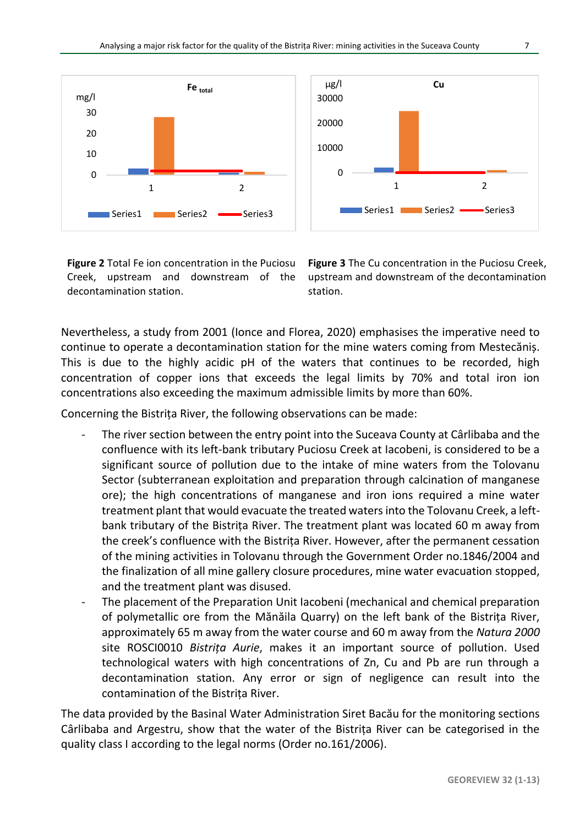

**Figure 2** Total Fe ion concentration in the Puciosu Creek, upstream and downstream of the decontamination station.

**Figure 3** The Cu concentration in the Puciosu Creek, upstream and downstream of the decontamination station.

Nevertheless, a study from 2001 (Ionce and Florea, 2020) emphasises the imperative need to continue to operate a decontamination station for the mine waters coming from Mestecăniș. This is due to the highly acidic pH of the waters that continues to be recorded, high concentration of copper ions that exceeds the legal limits by 70% and total iron ion concentrations also exceeding the maximum admissible limits by more than 60%.

Concerning the Bistrița River, the following observations can be made:

- The river section between the entry point into the Suceava County at Cârlibaba and the confluence with its left-bank tributary Puciosu Creek at Iacobeni, is considered to be a significant source of pollution due to the intake of mine waters from the Tolovanu Sector (subterranean exploitation and preparation through calcination of manganese ore); the high concentrations of manganese and iron ions required a mine water treatment plant that would evacuate the treated waters into the Tolovanu Creek, a leftbank tributary of the Bistrița River. The treatment plant was located 60 m away from the creek's confluence with the Bistrița River. However, after the permanent cessation of the mining activities in Tolovanu through the Government Order no.1846/2004 and the finalization of all mine gallery closure procedures, mine water evacuation stopped, and the treatment plant was disused.
- The placement of the Preparation Unit Iacobeni (mechanical and chemical preparation of polymetallic ore from the Mănăila Quarry) on the left bank of the Bistrița River, approximately 65 m away from the water course and 60 m away from the *Natura 2000*  site ROSCI0010 *Bistrița Aurie*, makes it an important source of pollution. Used technological waters with high concentrations of Zn, Cu and Pb are run through a decontamination station. Any error or sign of negligence can result into the contamination of the Bistrița River.

The data provided by the Basinal Water Administration Siret Bacău for the monitoring sections Cârlibaba and Argestru, show that the water of the Bistrița River can be categorised in the quality class I according to the legal norms (Order no.161/2006).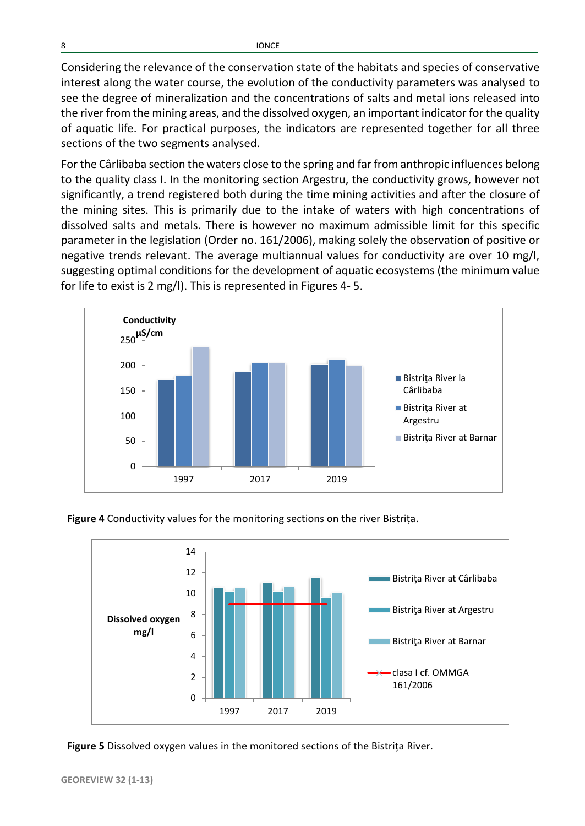Considering the relevance of the conservation state of the habitats and species of conservative interest along the water course, the evolution of the conductivity parameters was analysed to see the degree of mineralization and the concentrations of salts and metal ions released into the river from the mining areas, and the dissolved oxygen, an important indicator for the quality of aquatic life. For practical purposes, the indicators are represented together for all three sections of the two segments analysed.

For the Cârlibaba section the waters close to the spring and far from anthropic influences belong to the quality class I. In the monitoring section Argestru, the conductivity grows, however not significantly, a trend registered both during the time mining activities and after the closure of the mining sites. This is primarily due to the intake of waters with high concentrations of dissolved salts and metals. There is however no maximum admissible limit for this specific parameter in the legislation (Order no. 161/2006), making solely the observation of positive or negative trends relevant. The average multiannual values for conductivity are over 10 mg/l, suggesting optimal conditions for the development of aquatic ecosystems (the minimum value for life to exist is 2 mg/l). This is represented in Figures 4- 5.



**Figure 4** Conductivity values for the monitoring sections on the river Bistrița.



**Figure 5** Dissolved oxygen values in the monitored sections of the Bistrița River.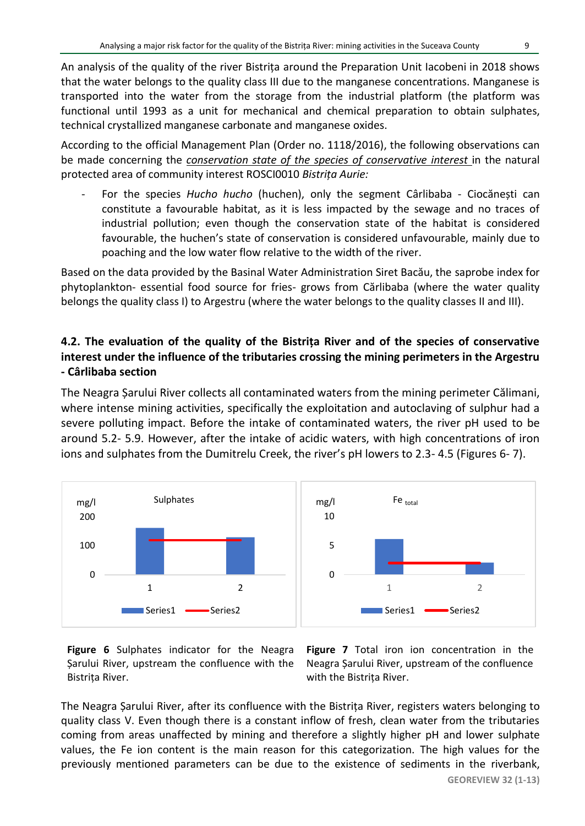An analysis of the quality of the river Bistrița around the Preparation Unit Iacobeni in 2018 shows that the water belongs to the quality class III due to the manganese concentrations. Manganese is transported into the water from the storage from the industrial platform (the platform was functional until 1993 as a unit for mechanical and chemical preparation to obtain sulphates, technical crystallized manganese carbonate and manganese oxides.

According to the official Management Plan (Order no. 1118/2016), the following observations can be made concerning the *conservation state of the species of conservative interest* in the natural protected area of community interest ROSCI0010 *Bistrița Aurie:*

- For the species *Hucho hucho* (huchen), only the segment Cârlibaba - Ciocănești can constitute a favourable habitat, as it is less impacted by the sewage and no traces of industrial pollution; even though the conservation state of the habitat is considered favourable, the huchen's state of conservation is considered unfavourable, mainly due to poaching and the low water flow relative to the width of the river.

Based on the data provided by the Basinal Water Administration Siret Bacău, the saprobe index for phytoplankton- essential food source for fries- grows from Cărlibaba (where the water quality belongs the quality class I) to Argestru (where the water belongs to the quality classes II and III).

# **4.2. The evaluation of the quality of the Bistrița River and of the species of conservative interest under the influence of the tributaries crossing the mining perimeters in the Argestru - Cârlibaba section**

The Neagra Șarului River collects all contaminated waters from the mining perimeter Călimani, where intense mining activities, specifically the exploitation and autoclaving of sulphur had a severe polluting impact. Before the intake of contaminated waters, the river pH used to be around 5.2- 5.9. However, after the intake of acidic waters, with high concentrations of iron ions and sulphates from the Dumitrelu Creek, the river's pH lowers to 2.3- 4.5 (Figures 6- 7).





**Figure 7** Total iron ion concentration in the Neagra Șarului River, upstream of the confluence with the Bistrița River.

The Neagra Șarului River, after its confluence with the Bistrița River, registers waters belonging to quality class V. Even though there is a constant inflow of fresh, clean water from the tributaries coming from areas unaffected by mining and therefore a slightly higher pH and lower sulphate values, the Fe ion content is the main reason for this categorization. The high values for the previously mentioned parameters can be due to the existence of sediments in the riverbank,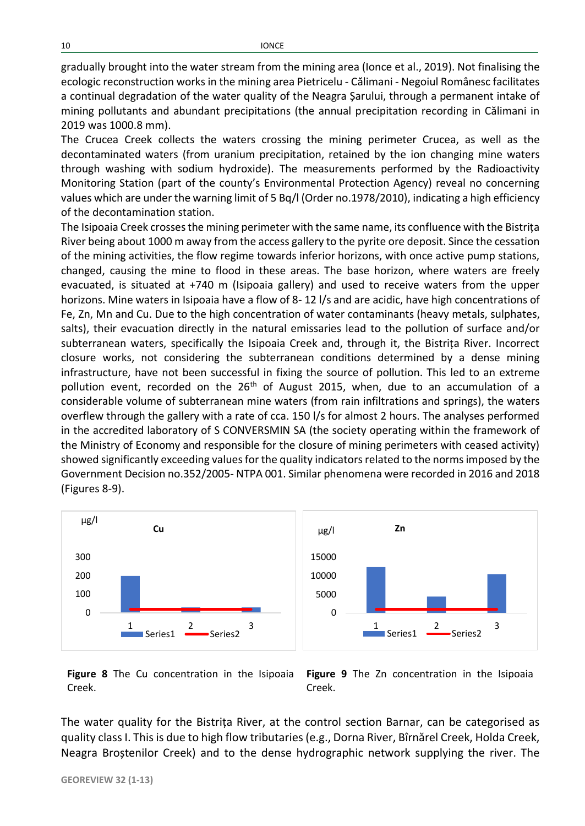gradually brought into the water stream from the mining area (Ionce et al., 2019). Not finalising the ecologic reconstruction works in the mining area Pietricelu - Călimani - Negoiul Românesc facilitates a continual degradation of the water quality of the Neagra Șarului, through a permanent intake of mining pollutants and abundant precipitations (the annual precipitation recording in Călimani in 2019 was 1000.8 mm).

The Crucea Creek collects the waters crossing the mining perimeter Crucea, as well as the decontaminated waters (from uranium precipitation, retained by the ion changing mine waters through washing with sodium hydroxide). The measurements performed by the Radioactivity Monitoring Station (part of the county's Environmental Protection Agency) reveal no concerning values which are under the warning limit of 5 Bq/l (Order no.1978/2010), indicating a high efficiency of the decontamination station.

The Isipoaia Creek crosses the mining perimeter with the same name, its confluence with the Bistrița River being about 1000 m away from the access gallery to the pyrite ore deposit. Since the cessation of the mining activities, the flow regime towards inferior horizons, with once active pump stations, changed, causing the mine to flood in these areas. The base horizon, where waters are freely evacuated, is situated at +740 m (Isipoaia gallery) and used to receive waters from the upper horizons. Mine waters in Isipoaia have a flow of 8- 12 l/s and are acidic, have high concentrations of Fe, Zn, Mn and Cu. Due to the high concentration of water contaminants (heavy metals, sulphates, salts), their evacuation directly in the natural emissaries lead to the pollution of surface and/or subterranean waters, specifically the Isipoaia Creek and, through it, the Bistrița River. Incorrect closure works, not considering the subterranean conditions determined by a dense mining infrastructure, have not been successful in fixing the source of pollution. This led to an extreme pollution event, recorded on the 26<sup>th</sup> of August 2015, when, due to an accumulation of a considerable volume of subterranean mine waters (from rain infiltrations and springs), the waters overflew through the gallery with a rate of cca. 150 l/s for almost 2 hours. The analyses performed in the accredited laboratory of S CONVERSMIN SA (the society operating within the framework of the Ministry of Economy and responsible for the closure of mining perimeters with ceased activity) showed significantly exceeding values for the quality indicators related to the norms imposed by the Government Decision no.352/2005- NTPA 001. Similar phenomena were recorded in 2016 and 2018 (Figures 8-9).



**Figure 8** The Cu concentration in the Isipoaia Creek.

**Figure 9** The Zn concentration in the Isipoaia Creek.

The water quality for the Bistrița River, at the control section Barnar, can be categorised as quality class I. This is due to high flow tributaries (e.g., Dorna River, Bîrnărel Creek, Holda Creek, Neagra Broștenilor Creek) and to the dense hydrographic network supplying the river. The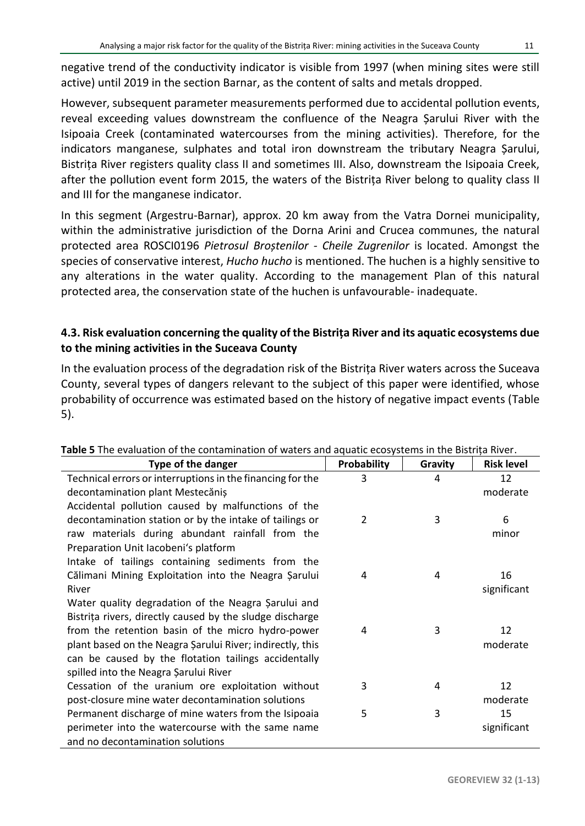However, subsequent parameter measurements performed due to accidental pollution events, reveal exceeding values downstream the confluence of the Neagra Șarului River with the Isipoaia Creek (contaminated watercourses from the mining activities). Therefore, for the indicators manganese, sulphates and total iron downstream the tributary Neagra Șarului, Bistrița River registers quality class II and sometimes III. Also, downstream the Isipoaia Creek, after the pollution event form 2015, the waters of the Bistrița River belong to quality class II and III for the manganese indicator.

In this segment (Argestru-Barnar), approx. 20 km away from the Vatra Dornei municipality, within the administrative jurisdiction of the Dorna Arini and Crucea communes, the natural protected area ROSCI0196 *Pietrosul Broștenilor - Cheile Zugrenilor* is located. Amongst the species of conservative interest, *Hucho hucho* is mentioned. The huchen is a highly sensitive to any alterations in the water quality. According to the management Plan of this natural protected area, the conservation state of the huchen is unfavourable- inadequate.

# **4.3. Risk evaluation concerning the quality of the Bistrița River and its aquatic ecosystems due to the mining activities in the Suceava County**

In the evaluation process of the degradation risk of the Bistrița River waters across the Suceava County, several types of dangers relevant to the subject of this paper were identified, whose probability of occurrence was estimated based on the history of negative impact events (Table 5).

| <b>Type of the danger</b>                                  | Probability | Gravity | <b>Risk level</b> |
|------------------------------------------------------------|-------------|---------|-------------------|
| Technical errors or interruptions in the financing for the | 3           | 4       | 12                |
| decontamination plant Mestecăniș                           |             |         | moderate          |
| Accidental pollution caused by malfunctions of the         |             |         |                   |
| decontamination station or by the intake of tailings or    | 2           | 3       | 6                 |
| raw materials during abundant rainfall from the            |             |         | minor             |
| Preparation Unit lacobeni's platform                       |             |         |                   |
| Intake of tailings containing sediments from the           |             |         |                   |
| Călimani Mining Exploitation into the Neagra Sarului       | 4           | 4       | 16                |
| River                                                      |             |         | significant       |
| Water quality degradation of the Neagra Sarului and        |             |         |                   |
| Bistrița rivers, directly caused by the sludge discharge   |             |         |                   |
| from the retention basin of the micro hydro-power          | 4           | 3       | 12                |
| plant based on the Neagra Sarului River; indirectly, this  |             |         | moderate          |
| can be caused by the flotation tailings accidentally       |             |         |                   |
| spilled into the Neagra Şarului River                      |             |         |                   |
| Cessation of the uranium ore exploitation without          | 3           | 4       | 12                |
| post-closure mine water decontamination solutions          |             |         | moderate          |
| Permanent discharge of mine waters from the Isipoaia       | 5           | 3       | 15                |
| perimeter into the watercourse with the same name          |             |         | significant       |
| and no decontamination solutions                           |             |         |                   |

## **Table 5** The evaluation of the contamination of waters and aquatic ecosystems in the Bistrița River.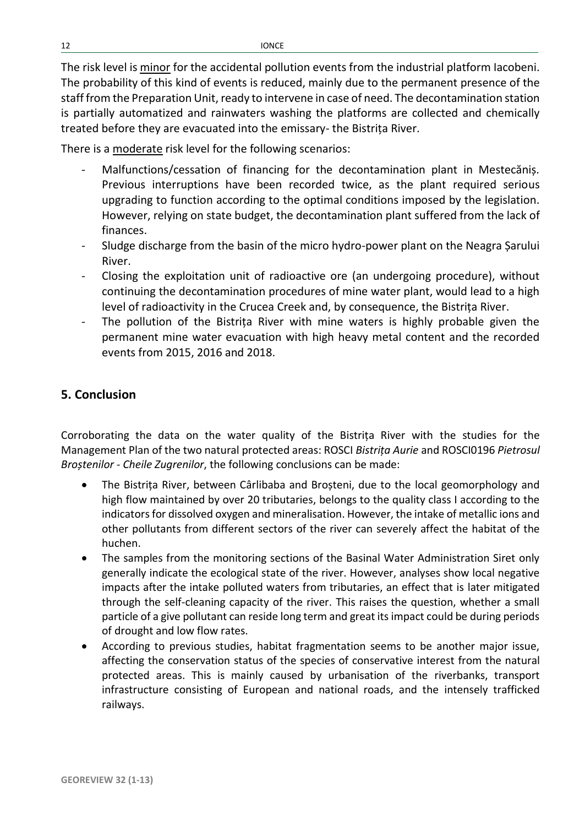The risk level is minor for the accidental pollution events from the industrial platform Iacobeni. The probability of this kind of events is reduced, mainly due to the permanent presence of the staff from the Preparation Unit, ready to intervene in case of need. The decontamination station is partially automatized and rainwaters washing the platforms are collected and chemically treated before they are evacuated into the emissary- the Bistrița River.

There is a moderate risk level for the following scenarios:

- Malfunctions/cessation of financing for the decontamination plant in Mestecăniș. Previous interruptions have been recorded twice, as the plant required serious upgrading to function according to the optimal conditions imposed by the legislation. However, relying on state budget, the decontamination plant suffered from the lack of finances.
- Sludge discharge from the basin of the micro hydro-power plant on the Neagra Șarului River.
- Closing the exploitation unit of radioactive ore (an undergoing procedure), without continuing the decontamination procedures of mine water plant, would lead to a high level of radioactivity in the Crucea Creek and, by consequence, the Bistrița River.
- The pollution of the Bistrița River with mine waters is highly probable given the permanent mine water evacuation with high heavy metal content and the recorded events from 2015, 2016 and 2018.

# **5. Conclusion**

Corroborating the data on the water quality of the Bistrița River with the studies for the Management Plan of the two natural protected areas: ROSCI *Bistrița Aurie* and ROSCI0196 *Pietrosul Broștenilor - Cheile Zugrenilor*, the following conclusions can be made:

- The Bistrița River, between Cârlibaba and Broșteni, due to the local geomorphology and high flow maintained by over 20 tributaries, belongs to the quality class I according to the indicators for dissolved oxygen and mineralisation. However, the intake of metallic ions and other pollutants from different sectors of the river can severely affect the habitat of the huchen.
- The samples from the monitoring sections of the Basinal Water Administration Siret only generally indicate the ecological state of the river. However, analyses show local negative impacts after the intake polluted waters from tributaries, an effect that is later mitigated through the self-cleaning capacity of the river. This raises the question, whether a small particle of a give pollutant can reside long term and great its impact could be during periods of drought and low flow rates.
- According to previous studies, habitat fragmentation seems to be another major issue, affecting the conservation status of the species of conservative interest from the natural protected areas. This is mainly caused by urbanisation of the riverbanks, transport infrastructure consisting of European and national roads, and the intensely trafficked railways.